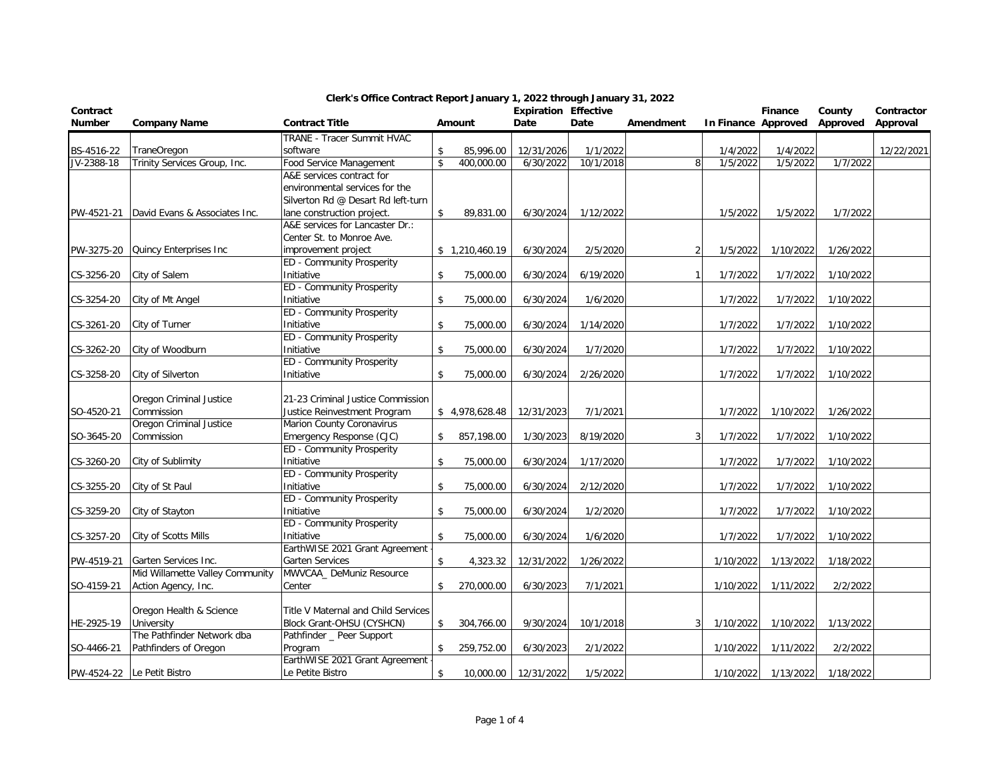| Contract      |                                                         |                                             |                    |                | <b>Expiration Effective</b> |           |                |                     | Finance   | County    | Contractor |
|---------------|---------------------------------------------------------|---------------------------------------------|--------------------|----------------|-----------------------------|-----------|----------------|---------------------|-----------|-----------|------------|
| <b>Number</b> | <b>Company Name</b>                                     | <b>Contract Title</b>                       |                    | Amount         | Date                        | Date      | Amendment      | In Finance Approved |           | Approved  | Approval   |
|               |                                                         | TRANE - Tracer Summit HVAC                  |                    |                |                             |           |                |                     |           |           |            |
| BS-4516-22    | <b>TraneOregon</b>                                      | software                                    | \$                 | 85,996.00      | 12/31/2026                  | 1/1/2022  |                | 1/4/2022            | 1/4/2022  |           | 12/22/2021 |
| JV-2388-18    | Trinity Services Group, Inc.                            | <b>Food Service Management</b>              | \$                 | 400,000.00     | 6/30/2022                   | 10/1/2018 | 8              | 1/5/2022            | 1/5/2022  | 1/7/2022  |            |
|               |                                                         | A&E services contract for                   |                    |                |                             |           |                |                     |           |           |            |
|               |                                                         | environmental services for the              |                    |                |                             |           |                |                     |           |           |            |
|               |                                                         | Silverton Rd @ Desart Rd left-turn          |                    |                |                             |           |                |                     |           |           |            |
| PW-4521-21    | David Evans & Associates Inc.                           | lane construction project.                  | \$                 | 89,831.00      | 6/30/2024                   | 1/12/2022 |                | 1/5/2022            | 1/5/2022  | 1/7/2022  |            |
|               |                                                         | A&E services for Lancaster Dr.:             |                    |                |                             |           |                |                     |           |           |            |
|               |                                                         | Center St. to Monroe Ave.                   |                    |                |                             |           |                |                     |           |           |            |
| PW-3275-20    | Quincy Enterprises Inc                                  | improvement project                         |                    | \$1,210,460.19 | 6/30/2024                   | 2/5/2020  | $\overline{2}$ | 1/5/2022            | 1/10/2022 | 1/26/2022 |            |
|               |                                                         | ED - Community Prosperity                   |                    |                |                             |           |                |                     |           |           |            |
| CS-3256-20    | City of Salem                                           | Initiative                                  | \$                 | 75,000.00      | 6/30/2024                   | 6/19/2020 | $\mathbf{1}$   | 1/7/2022            | 1/7/2022  | 1/10/2022 |            |
|               |                                                         | ED - Community Prosperity                   |                    |                |                             |           |                |                     |           |           |            |
| CS-3254-20    | City of Mt Angel                                        | Initiative                                  | $\mathbf{\hat{S}}$ | 75,000.00      | 6/30/2024                   | 1/6/2020  |                | 1/7/2022            | 1/7/2022  | 1/10/2022 |            |
|               |                                                         | ED - Community Prosperity                   |                    |                |                             |           |                |                     |           |           |            |
| CS-3261-20    | City of Turner                                          | Initiative                                  | $\mathsf{\$}$      | 75,000.00      | 6/30/2024                   | 1/14/2020 |                | 1/7/2022            | 1/7/2022  | 1/10/2022 |            |
|               |                                                         | ED - Community Prosperity                   |                    |                |                             |           |                |                     |           |           |            |
| CS-3262-20    | City of Woodburn                                        | Initiative                                  | \$                 | 75,000.00      | 6/30/2024                   | 1/7/2020  |                | 1/7/2022            | 1/7/2022  | 1/10/2022 |            |
|               |                                                         | ED - Community Prosperity                   |                    |                |                             |           |                |                     |           |           |            |
| CS-3258-20    | City of Silverton                                       | Initiative                                  | \$                 | 75,000.00      | 6/30/2024                   | 2/26/2020 |                | 1/7/2022            | 1/7/2022  | 1/10/2022 |            |
|               |                                                         |                                             |                    |                |                             |           |                |                     |           |           |            |
|               | Oregon Criminal Justice                                 | 21-23 Criminal Justice Commission           |                    |                |                             |           |                |                     |           |           |            |
| SO-4520-21    | Commission                                              | Justice Reinvestment Program                |                    | \$4,978,628.48 | 12/31/2023                  | 7/1/2021  |                | 1/7/2022            | 1/10/2022 | 1/26/2022 |            |
|               | Oregon Criminal Justice                                 | <b>Marion County Coronavirus</b>            |                    |                |                             |           |                |                     |           |           |            |
| SO-3645-20    | Commission                                              | Emergency Response (CJC)                    | \$                 | 857,198.00     | 1/30/2023                   | 8/19/2020 | 3              | 1/7/2022            | 1/7/2022  | 1/10/2022 |            |
|               |                                                         | ED - Community Prosperity                   |                    |                |                             |           |                |                     |           |           |            |
| CS-3260-20    | City of Sublimity                                       | Initiative                                  | \$                 | 75,000.00      | 6/30/2024                   | 1/17/2020 |                | 1/7/2022            | 1/7/2022  | 1/10/2022 |            |
|               |                                                         | ED - Community Prosperity                   |                    |                |                             |           |                |                     |           |           |            |
| CS-3255-20    | City of St Paul                                         | Initiative                                  | \$                 | 75,000.00      | 6/30/2024                   | 2/12/2020 |                | 1/7/2022            | 1/7/2022  | 1/10/2022 |            |
|               |                                                         | ED - Community Prosperity                   |                    |                |                             |           |                |                     |           |           |            |
| CS-3259-20    | City of Stayton                                         | Initiative                                  | \$                 | 75,000.00      | 6/30/2024                   | 1/2/2020  |                | 1/7/2022            | 1/7/2022  | 1/10/2022 |            |
|               |                                                         | ED - Community Prosperity<br>Initiative     |                    |                |                             |           |                |                     |           |           |            |
| CS-3257-20    | City of Scotts Mills                                    |                                             | \$                 | 75,000.00      | 6/30/2024                   | 1/6/2020  |                | 1/7/2022            | 1/7/2022  | 1/10/2022 |            |
|               |                                                         | EarthWISE 2021 Grant Agreement              |                    |                |                             |           |                |                     |           |           |            |
| PW-4519-21    | Garten Services Inc.<br>Mid Willamette Valley Community | Garten Services<br>MWVCAA_ DeMuniz Resource | \$                 | 4,323.32       | 12/31/2022                  | 1/26/2022 |                | 1/10/2022           | 1/13/2022 | 1/18/2022 |            |
| SO-4159-21    | Action Agency, Inc.                                     | Center                                      | \$                 |                | 6/30/2023                   | 7/1/2021  |                |                     |           | 2/2/2022  |            |
|               |                                                         |                                             |                    | 270,000.00     |                             |           |                | 1/10/2022           | 1/11/2022 |           |            |
|               |                                                         | Title V Maternal and Child Services         |                    |                |                             |           |                |                     |           |           |            |
|               | Oregon Health & Science<br>University                   | Block Grant-OHSU (CYSHCN)                   | \$                 |                |                             |           |                |                     |           |           |            |
| HE-2925-19    | The Pathfinder Network dba                              | Pathfinder _ Peer Support                   |                    | 304,766.00     | 9/30/2024                   | 10/1/2018 | 3              | 1/10/2022           | 1/10/2022 | 1/13/2022 |            |
|               |                                                         |                                             |                    |                |                             |           |                |                     |           | 2/2/2022  |            |
| SO-4466-21    | Pathfinders of Oregon                                   | Program<br>EarthWISE 2021 Grant Agreement   | \$                 | 259,752.00     | 6/30/2023                   | 2/1/2022  |                | 1/10/2022           | 1/11/2022 |           |            |
|               |                                                         | Le Petite Bistro                            | $\mathsf{\$}$      |                |                             | 1/5/2022  |                |                     |           | 1/18/2022 |            |
|               | PW-4524-22 Le Petit Bistro                              |                                             |                    | 10,000.00      | 12/31/2022                  |           |                | 1/10/2022           | 1/13/2022 |           |            |

## **Clerk's Office Contract Report January 1, 2022 through January 31, 2022**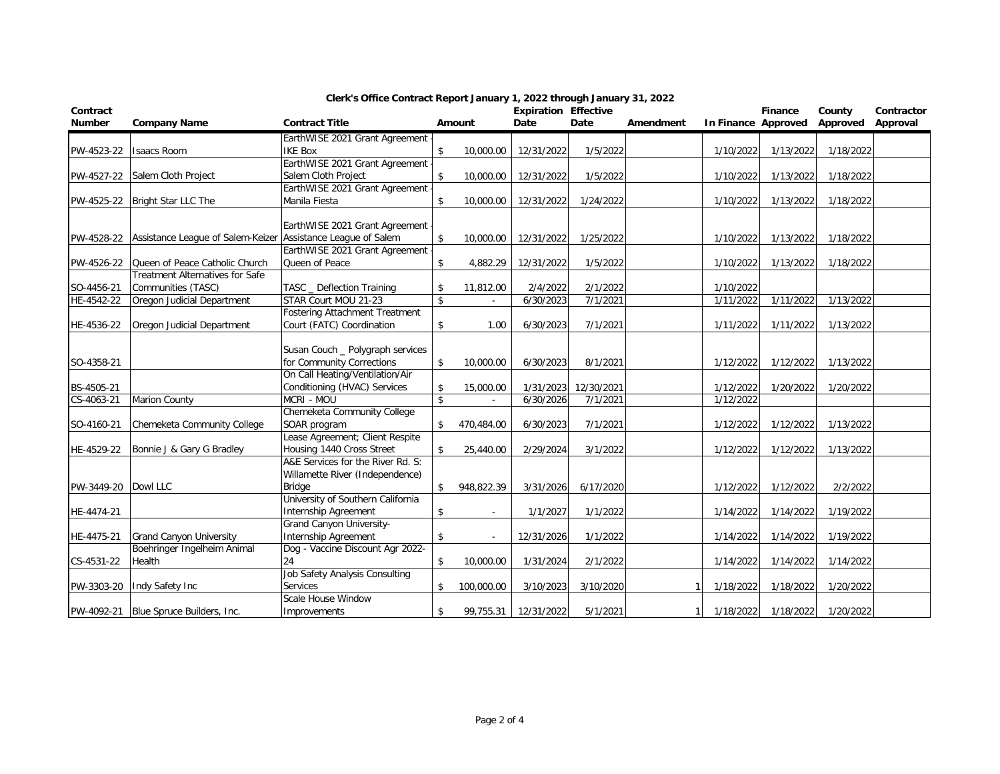| Contract            |                                              |                                       |               |            | <b>Expiration Effective</b> |            |                |                     | Finance   | County    | Contractor |
|---------------------|----------------------------------------------|---------------------------------------|---------------|------------|-----------------------------|------------|----------------|---------------------|-----------|-----------|------------|
| <b>Number</b>       | <b>Company Name</b>                          | <b>Contract Title</b>                 |               | Amount     | Date                        | Date       | Amendment      | In Finance Approved |           | Approved  | Approval   |
|                     |                                              | EarthWISE 2021 Grant Agreement        |               |            |                             |            |                |                     |           |           |            |
| PW-4523-22          | <b>Isaacs Room</b>                           | <b>IKE Box</b>                        | \$            | 10,000.00  | 12/31/2022                  | 1/5/2022   |                | 1/10/2022           | 1/13/2022 | 1/18/2022 |            |
|                     |                                              | EarthWISE 2021 Grant Agreement        |               |            |                             |            |                |                     |           |           |            |
|                     | PW-4527-22 Salem Cloth Project               | Salem Cloth Project                   | $\mathsf{\$}$ | 10,000.00  | 12/31/2022                  | 1/5/2022   |                | 1/10/2022           | 1/13/2022 | 1/18/2022 |            |
|                     |                                              | EarthWISE 2021 Grant Agreement        |               |            |                             |            |                |                     |           |           |            |
|                     | PW-4525-22 Bright Star LLC The               | Manila Fiesta                         | \$            | 10,000.00  | 12/31/2022                  | 1/24/2022  |                | 1/10/2022           | 1/13/2022 | 1/18/2022 |            |
|                     |                                              |                                       |               |            |                             |            |                |                     |           |           |            |
|                     |                                              | EarthWISE 2021 Grant Agreement        |               |            |                             |            |                |                     |           |           |            |
|                     | PW-4528-22 Assistance League of Salem-Keizer | Assistance League of Salem            | \$            | 10,000.00  | 12/31/2022                  | 1/25/2022  |                | 1/10/2022           | 1/13/2022 | 1/18/2022 |            |
|                     |                                              | EarthWISE 2021 Grant Agreement        |               |            |                             |            |                |                     |           |           |            |
| PW-4526-22          | Queen of Peace Catholic Church               | Queen of Peace                        | \$            | 4,882.29   | 12/31/2022                  | 1/5/2022   |                | 1/10/2022           | 1/13/2022 | 1/18/2022 |            |
|                     | <b>Treatment Alternatives for Safe</b>       |                                       |               |            |                             |            |                |                     |           |           |            |
| SO-4456-21          | Communities (TASC)                           | TASC _ Deflection Training            | \$            | 11,812.00  | 2/4/2022                    | 2/1/2022   |                | 1/10/2022           |           |           |            |
| HE-4542-22          | Oregon Judicial Department                   | STAR Court MOU 21-23                  | \$            |            | 6/30/2023                   | 7/1/2021   |                | 1/11/2022           | 1/11/2022 | 1/13/2022 |            |
|                     |                                              | <b>Fostering Attachment Treatment</b> |               |            |                             |            |                |                     |           |           |            |
| HE-4536-22          | Oregon Judicial Department                   | Court (FATC) Coordination             | \$            | 1.00       | 6/30/2023                   | 7/1/2021   |                | 1/11/2022           | 1/11/2022 | 1/13/2022 |            |
|                     |                                              |                                       |               |            |                             |            |                |                     |           |           |            |
|                     |                                              | Susan Couch _ Polygraph services      |               |            |                             |            |                |                     |           |           |            |
| SO-4358-21          |                                              | for Community Corrections             | \$            | 10,000.00  | 6/30/2023                   | 8/1/2021   |                | 1/12/2022           | 1/12/2022 | 1/13/2022 |            |
|                     |                                              | On Call Heating/Ventilation/Air       |               |            |                             |            |                |                     |           |           |            |
| BS-4505-21          |                                              | Conditioning (HVAC) Services          | \$            | 15,000.00  | 1/31/2023                   | 12/30/2021 |                | 1/12/2022           | 1/20/2022 | 1/20/2022 |            |
| CS-4063-21          | Marion County                                | MCRI - MOU                            | $\mathsf{\$}$ |            | 6/30/2026                   | 7/1/2021   |                | 1/12/2022           |           |           |            |
|                     |                                              | Chemeketa Community College           |               |            |                             |            |                |                     |           |           |            |
| SO-4160-21          | Chemeketa Community College                  | SOAR program                          | \$            | 470,484.00 | 6/30/2023                   | 7/1/2021   |                | 1/12/2022           | 1/12/2022 | 1/13/2022 |            |
|                     |                                              | Lease Agreement; Client Respite       |               |            |                             |            |                |                     |           |           |            |
| HE-4529-22          | Bonnie J & Gary G Bradley                    | Housing 1440 Cross Street             | \$            | 25,440.00  | 2/29/2024                   | 3/1/2022   |                | 1/12/2022           | 1/12/2022 | 1/13/2022 |            |
|                     |                                              | A&E Services for the River Rd. S:     |               |            |                             |            |                |                     |           |           |            |
|                     |                                              | Willamette River (Independence)       |               |            |                             |            |                |                     |           |           |            |
| PW-3449-20 Dowl LLC |                                              | Bridge                                | \$            | 948,822.39 | 3/31/2026                   | 6/17/2020  |                | 1/12/2022           | 1/12/2022 | 2/2/2022  |            |
|                     |                                              | University of Southern California     |               |            |                             |            |                |                     |           |           |            |
| HE-4474-21          |                                              | Internship Agreement                  | \$            | $\sim$     | 1/1/2027                    | 1/1/2022   |                | 1/14/2022           | 1/14/2022 | 1/19/2022 |            |
|                     |                                              | Grand Canyon University-              |               |            |                             |            |                |                     |           |           |            |
| HE-4475-21          | <b>Grand Canyon University</b>               | Internship Agreement                  | \$            |            | 12/31/2026                  | 1/1/2022   |                | 1/14/2022           | 1/14/2022 | 1/19/2022 |            |
|                     | Boehringer Ingelheim Animal                  | Dog - Vaccine Discount Agr 2022-      |               |            |                             |            |                |                     |           |           |            |
| CS-4531-22          | Health                                       | 24                                    | $\mathsf{\$}$ | 10,000.00  | 1/31/2024                   | 2/1/2022   |                | 1/14/2022           | 1/14/2022 | 1/14/2022 |            |
|                     |                                              | Job Safety Analysis Consulting        |               |            |                             |            |                |                     |           |           |            |
| PW-3303-20          | Indy Safety Inc                              | Services                              | \$            | 100,000.00 | 3/10/2023                   | 3/10/2020  |                | 1/18/2022           | 1/18/2022 | 1/20/2022 |            |
|                     |                                              | Scale House Window                    |               |            |                             |            |                |                     |           |           |            |
|                     | PW-4092-21 Blue Spruce Builders, Inc.        | Improvements                          | \$            | 99,755.31  | 12/31/2022                  | 5/1/2021   | $\overline{1}$ | 1/18/2022           | 1/18/2022 | 1/20/2022 |            |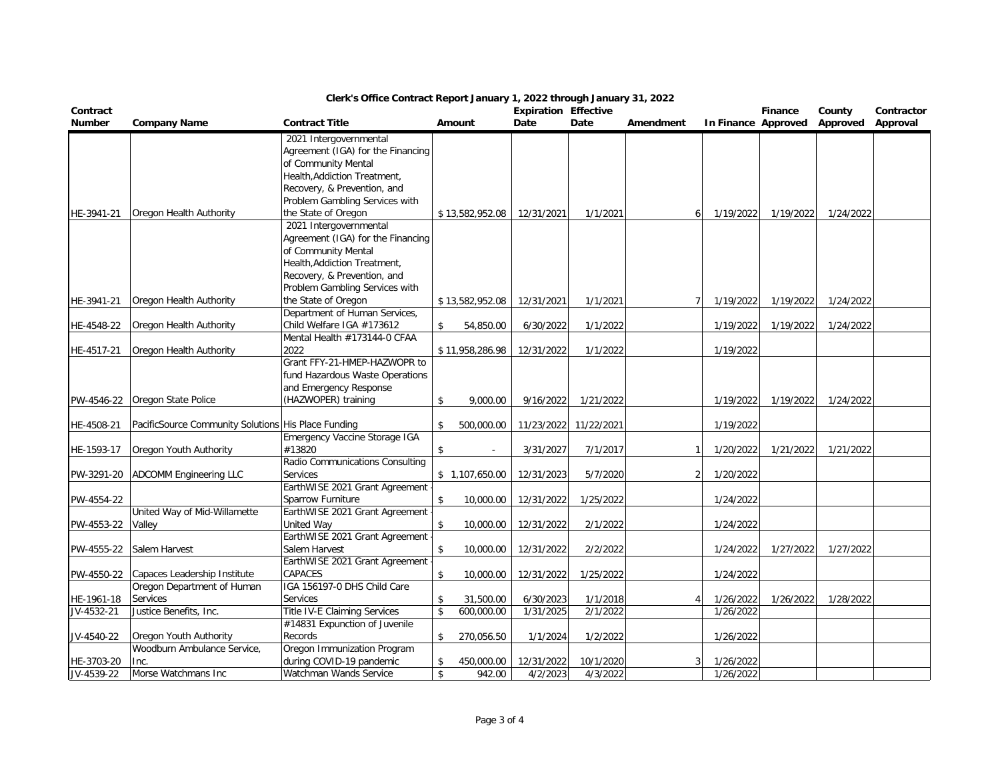| Contract                 |                                                     |                                                     |                     |                 | <b>Expiration Effective</b> |                       |                |                        | <b>Finance</b>      | County    | Contractor |
|--------------------------|-----------------------------------------------------|-----------------------------------------------------|---------------------|-----------------|-----------------------------|-----------------------|----------------|------------------------|---------------------|-----------|------------|
| <b>Number</b>            | <b>Company Name</b>                                 | <b>Contract Title</b>                               |                     | Amount          | Date                        | Date                  | Amendment      |                        | In Finance Approved | Approved  | Approval   |
|                          |                                                     | 2021 Intergovernmental                              |                     |                 |                             |                       |                |                        |                     |           |            |
|                          |                                                     | Agreement (IGA) for the Financing                   |                     |                 |                             |                       |                |                        |                     |           |            |
|                          |                                                     | of Community Mental                                 |                     |                 |                             |                       |                |                        |                     |           |            |
|                          |                                                     | Health, Addiction Treatment,                        |                     |                 |                             |                       |                |                        |                     |           |            |
|                          |                                                     | Recovery, & Prevention, and                         |                     |                 |                             |                       |                |                        |                     |           |            |
|                          |                                                     | Problem Gambling Services with                      |                     |                 |                             |                       |                |                        |                     |           |            |
| HE-3941-21               | Oregon Health Authority                             | the State of Oregon                                 |                     | \$13,582,952.08 | 12/31/2021                  | 1/1/2021              | 6              | 1/19/2022              | 1/19/2022           | 1/24/2022 |            |
|                          |                                                     | 2021 Intergovernmental                              |                     |                 |                             |                       |                |                        |                     |           |            |
|                          |                                                     | Agreement (IGA) for the Financing                   |                     |                 |                             |                       |                |                        |                     |           |            |
|                          |                                                     | of Community Mental<br>Health, Addiction Treatment, |                     |                 |                             |                       |                |                        |                     |           |            |
|                          |                                                     | Recovery, & Prevention, and                         |                     |                 |                             |                       |                |                        |                     |           |            |
|                          |                                                     | Problem Gambling Services with                      |                     |                 |                             |                       |                |                        |                     |           |            |
| HE-3941-21               | Oregon Health Authority                             | the State of Oregon                                 |                     | \$13,582,952.08 | 12/31/2021                  | 1/1/2021              | $\overline{7}$ | 1/19/2022              | 1/19/2022           | 1/24/2022 |            |
|                          |                                                     | Department of Human Services,                       |                     |                 |                             |                       |                |                        |                     |           |            |
| HE-4548-22               | Oregon Health Authority                             | Child Welfare IGA #173612                           | \$                  | 54,850.00       | 6/30/2022                   | 1/1/2022              |                | 1/19/2022              | 1/19/2022           | 1/24/2022 |            |
|                          |                                                     | Mental Health #173144-0 CFAA                        |                     |                 |                             |                       |                |                        |                     |           |            |
| HE-4517-21               | Oregon Health Authority                             | 2022                                                |                     | \$11,958,286.98 | 12/31/2022                  | 1/1/2022              |                | 1/19/2022              |                     |           |            |
|                          |                                                     | Grant FFY-21-HMEP-HAZWOPR to                        |                     |                 |                             |                       |                |                        |                     |           |            |
|                          |                                                     | fund Hazardous Waste Operations                     |                     |                 |                             |                       |                |                        |                     |           |            |
|                          |                                                     | and Emergency Response                              |                     |                 |                             |                       |                |                        |                     |           |            |
| PW-4546-22               | Oregon State Police                                 | (HAZWOPER) training                                 | \$                  | 9,000.00        | 9/16/2022                   | 1/21/2022             |                | 1/19/2022              | 1/19/2022           | 1/24/2022 |            |
|                          |                                                     |                                                     |                     |                 |                             |                       |                |                        |                     |           |            |
| HE-4508-21               | PacificSource Community Solutions His Place Funding |                                                     | \$                  | 500,000.00      |                             | 11/23/2022 11/22/2021 |                | 1/19/2022              |                     |           |            |
|                          |                                                     | Emergency Vaccine Storage IGA                       |                     |                 |                             |                       |                |                        |                     |           |            |
| HE-1593-17               | Oregon Youth Authority                              | #13820                                              | \$                  |                 | 3/31/2027                   | 7/1/2017              | $\mathbf{1}$   | 1/20/2022              | 1/21/2022           | 1/21/2022 |            |
| PW-3291-20               | <b>ADCOMM Engineering LLC</b>                       | Radio Communications Consulting<br><b>Services</b>  |                     | \$1,107,650.00  | 12/31/2023                  | 5/7/2020              | 2              | 1/20/2022              |                     |           |            |
|                          |                                                     | EarthWISE 2021 Grant Agreement                      |                     |                 |                             |                       |                |                        |                     |           |            |
| PW-4554-22               |                                                     | Sparrow Furniture                                   | \$                  | 10,000.00       | 12/31/2022                  | 1/25/2022             |                | 1/24/2022              |                     |           |            |
|                          | United Way of Mid-Willamette                        | EarthWISE 2021 Grant Agreement                      |                     |                 |                             |                       |                |                        |                     |           |            |
| PW-4553-22               | Valley                                              | United Way                                          | $\mathsf{\$}$       | 10,000.00       | 12/31/2022                  | 2/1/2022              |                | 1/24/2022              |                     |           |            |
|                          |                                                     | EarthWISE 2021 Grant Agreement                      |                     |                 |                             |                       |                |                        |                     |           |            |
| PW-4555-22               | Salem Harvest                                       | Salem Harvest                                       | \$                  | 10,000.00       | 12/31/2022                  | 2/2/2022              |                | 1/24/2022              | 1/27/2022           | 1/27/2022 |            |
|                          |                                                     | EarthWISE 2021 Grant Agreement                      |                     |                 |                             |                       |                |                        |                     |           |            |
| PW-4550-22               | Capaces Leadership Institute                        | CAPACES                                             | \$                  | 10,000.00       | 12/31/2022                  | 1/25/2022             |                | 1/24/2022              |                     |           |            |
|                          | Oregon Department of Human                          | IGA 156197-0 DHS Child Care                         |                     |                 |                             |                       |                |                        |                     |           |            |
| HE-1961-18               | Services                                            | Services                                            | \$                  | 31,500.00       | 6/30/2023                   | 1/1/2018              | 4              | 1/26/2022              | 1/26/2022           | 1/28/2022 |            |
| JV-4532-21               | Justice Benefits, Inc.                              | Title IV-E Claiming Services                        | \$                  | 600,000.00      | 1/31/2025                   | 2/1/2022              |                | 1/26/2022              |                     |           |            |
|                          |                                                     | #14831 Expunction of Juvenile                       |                     |                 |                             |                       |                |                        |                     |           |            |
| JV-4540-22               | Oregon Youth Authority                              | Records                                             | \$                  | 270,056.50      | 1/1/2024                    | 1/2/2022              |                | 1/26/2022              |                     |           |            |
|                          | Woodburn Ambulance Service,                         | Oregon Immunization Program                         |                     |                 |                             |                       |                |                        |                     |           |            |
| HE-3703-20<br>JV-4539-22 | Inc.                                                | during COVID-19 pandemic                            | \$<br>$\mathsf{\$}$ | 450,000.00      | 12/31/2022                  | 10/1/2020<br>4/3/2022 | 3              | 1/26/2022<br>1/26/2022 |                     |           |            |
|                          | Morse Watchmans Inc                                 | Watchman Wands Service                              |                     | 942.00          | 4/2/2023                    |                       |                |                        |                     |           |            |

## **Clerk's Office Contract Report January 1, 2022 through January 31, 2022**